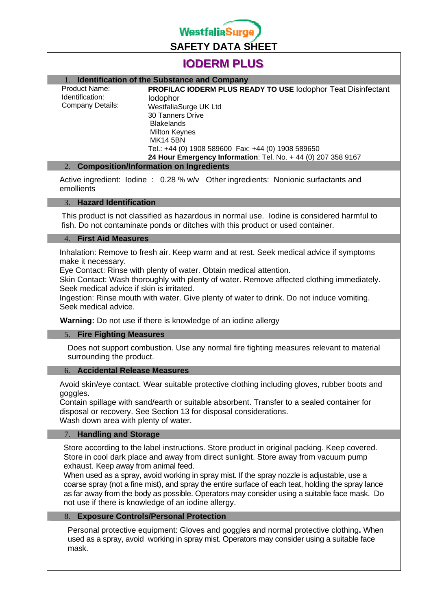

# **IODERM PLUS**

## 1. **Identification of the Substance and Company**

| Product Name:<br>Identification:<br>Company Details: | PROFILAC IODERM PLUS READY TO USE lodophor Teat Disinfectant  |
|------------------------------------------------------|---------------------------------------------------------------|
|                                                      | lodophor                                                      |
|                                                      | WestfaliaSurge UK Ltd                                         |
|                                                      | <b>30 Tanners Drive</b>                                       |
|                                                      | <b>Blakelands</b>                                             |
|                                                      | <b>Milton Keynes</b>                                          |
|                                                      | <b>MK14 5BN</b>                                               |
|                                                      | Tel.: +44 (0) 1908 589600 Fax: +44 (0) 1908 589650            |
|                                                      | 24 Hour Emergency Information: Tel. No. + 44 (0) 207 358 9167 |
|                                                      |                                                               |

#### 2. **Composition/Information on Ingredients**

Active ingredient: Iodine : 0.28 % w/v Other ingredients: Nonionic surfactants and emollients

#### 3. **Hazard Identification**

This product is not classified as hazardous in normal use. Iodine is considered harmful to fish. Do not contaminate ponds or ditches with this product or used container.

#### 4. **First Aid Measures**

Inhalation: Remove to fresh air. Keep warm and at rest. Seek medical advice if symptoms make it necessary.

Eye Contact: Rinse with plenty of water. Obtain medical attention.

Skin Contact: Wash thoroughly with plenty of water. Remove affected clothing immediately. Seek medical advice if skin is irritated.

Ingestion: Rinse mouth with water. Give plenty of water to drink. Do not induce vomiting. Seek medical advice.

 **Warning:** Do not use if there is knowledge of an iodine allergy

#### 5. **Fire Fighting Measures**

Does not support combustion. Use any normal fire fighting measures relevant to material surrounding the product.

#### 6. **Accidental Release Measures**

Avoid skin/eye contact. Wear suitable protective clothing including gloves, rubber boots and goggles.

Contain spillage with sand/earth or suitable absorbent. Transfer to a sealed container for disposal or recovery. See Section 13 for disposal considerations. Wash down area with plenty of water.

#### 7. **Handling and Storage**

Store according to the label instructions. Store product in original packing. Keep covered. Store in cool dark place and away from direct sunlight. Store away from vacuum pump exhaust. Keep away from animal feed.

When used as a spray, avoid working in spray mist. If the spray nozzle is adjustable, use a coarse spray (not a fine mist), and spray the entire surface of each teat, holding the spray lance as far away from the body as possible. Operators may consider using a suitable face mask. Do not use if there is knowledge of an iodine allergy.

#### 8. **Exposure Controls/Personal Protection**

Personal protective equipment: Gloves and goggles and normal protective clothing**.** When used as a spray, avoid working in spray mist. Operators may consider using a suitable face mask.